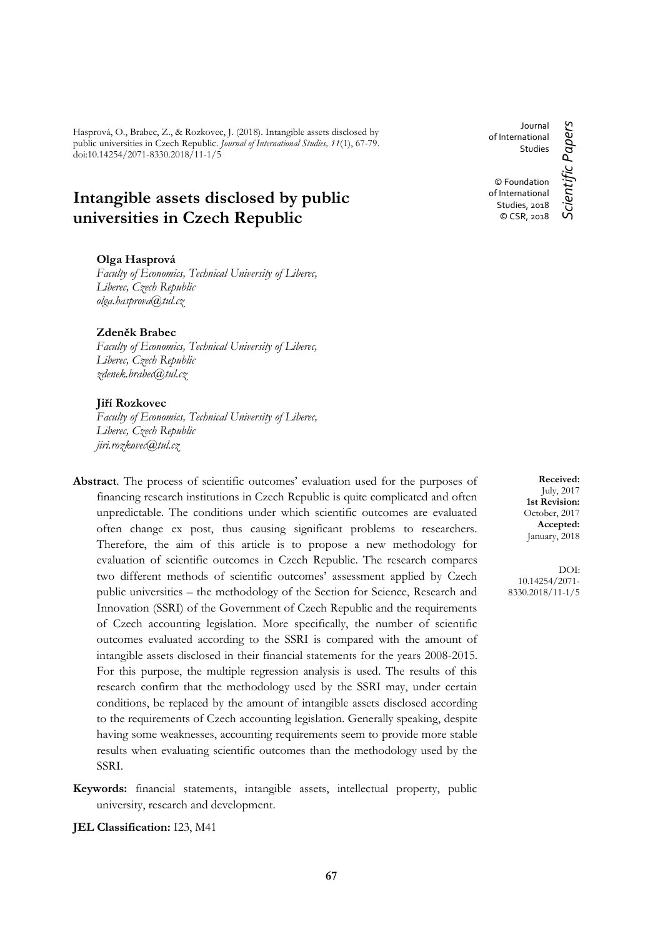Hasprová, O., Brabec, Z., & Rozkovec, J. (2018). Intangible assets disclosed by public universities in Czech Republic. *Journal of International Studies, 11*(1), 67-79. doi:10.14254/2071-8330.2018/11-1/5

# **Intangible assets disclosed by public universities in Czech Republic**

## **Olga Hasprová**

*Faculty of Economics, Technical University of Liberec, Liberec, Czech Republic olga.hasprova@tul.cz*

**Zdeněk Brabec**

*Faculty of Economics, Technical University of Liberec, Liberec, Czech Republic zdenek.brabec@tul.cz*

## **Jiří Rozkovec**

*Faculty of Economics, Technical University of Liberec, Liberec, Czech Republic jiri.rozkovec@tul.cz*

- **Abstract**. The process of scientific outcomes' evaluation used for the purposes of financing research institutions in Czech Republic is quite complicated and often unpredictable. The conditions under which scientific outcomes are evaluated often change ex post, thus causing significant problems to researchers. Therefore, the aim of this article is to propose a new methodology for evaluation of scientific outcomes in Czech Republic. The research compares two different methods of scientific outcomes' assessment applied by Czech public universities – the methodology of the Section for Science, Research and Innovation (SSRI) of the Government of Czech Republic and the requirements of Czech accounting legislation. More specifically, the number of scientific outcomes evaluated according to the SSRI is compared with the amount of intangible assets disclosed in their financial statements for the years 2008-2015. For this purpose, the multiple regression analysis is used. The results of this research confirm that the methodology used by the SSRI may, under certain conditions, be replaced by the amount of intangible assets disclosed according to the requirements of Czech accounting legislation. Generally speaking, despite having some weaknesses, accounting requirements seem to provide more stable results when evaluating scientific outcomes than the methodology used by the SSRI.
- **Keywords:** financial statements, intangible assets, intellectual property, public university, research and development.

**JEL Classification:** I23, M41

Journal Scientific Papers *Scientific Papers* of International Studies © Foundation of International Studies, 2018 © CSR, 2018

**Received:** July, 2017 **1st Revision:** October, 2017 **Accepted:** January, 2018

DOI: 10.14254/2071- 8330.2018/11-1/5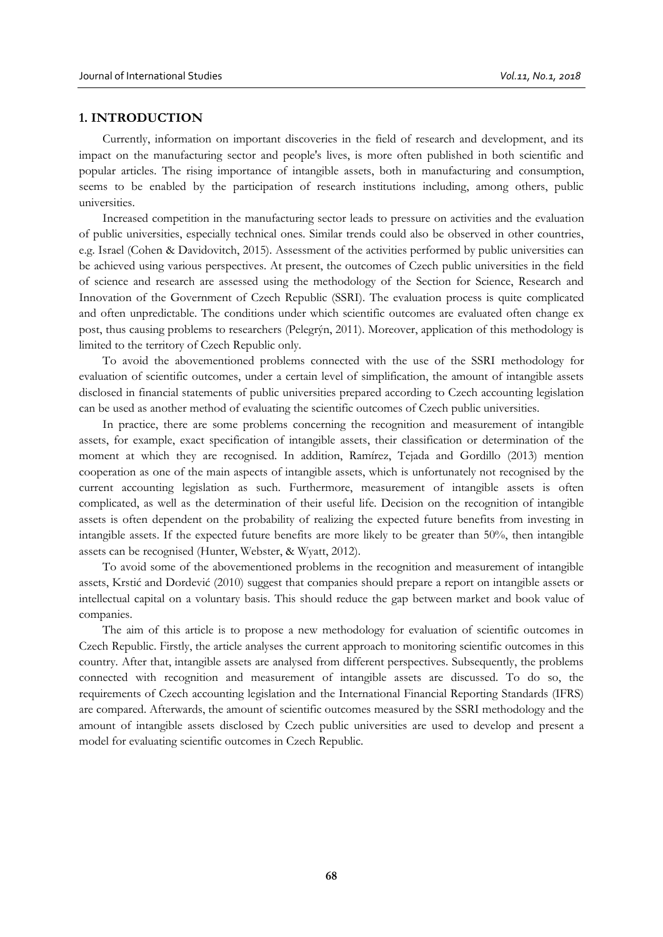## **1. INTRODUCTION**

Currently, information on important discoveries in the field of research and development, and its impact on the manufacturing sector and people's lives, is more often published in both scientific and popular articles. The rising importance of intangible assets, both in manufacturing and consumption, seems to be enabled by the participation of research institutions including, among others, public universities.

Increased competition in the manufacturing sector leads to pressure on activities and the evaluation of public universities, especially technical ones. Similar trends could also be observed in other countries, e.g. Israel (Cohen & Davidovitch, 2015). Assessment of the activities performed by public universities can be achieved using various perspectives. At present, the outcomes of Czech public universities in the field of science and research are assessed using the methodology of the Section for Science, Research and Innovation of the Government of Czech Republic (SSRI). The evaluation process is quite complicated and often unpredictable. The conditions under which scientific outcomes are evaluated often change ex post, thus causing problems to researchers (Pelegrýn, 2011). Moreover, application of this methodology is limited to the territory of Czech Republic only.

To avoid the abovementioned problems connected with the use of the SSRI methodology for evaluation of scientific outcomes, under a certain level of simplification, the amount of intangible assets disclosed in financial statements of public universities prepared according to Czech accounting legislation can be used as another method of evaluating the scientific outcomes of Czech public universities.

In practice, there are some problems concerning the recognition and measurement of intangible assets, for example, exact specification of intangible assets, their classification or determination of the moment at which they are recognised. In addition, Ramírez, Tejada and Gordillo (2013) mention cooperation as one of the main aspects of intangible assets, which is unfortunately not recognised by the current accounting legislation as such. Furthermore, measurement of intangible assets is often complicated, as well as the determination of their useful life. Decision on the recognition of intangible assets is often dependent on the probability of realizing the expected future benefits from investing in intangible assets. If the expected future benefits are more likely to be greater than 50%, then intangible assets can be recognised (Hunter, Webster, & Wyatt, 2012).

To avoid some of the abovementioned problems in the recognition and measurement of intangible assets, Krstić and Dordević (2010) suggest that companies should prepare a report on intangible assets or intellectual capital on a voluntary basis. This should reduce the gap between market and book value of companies.

The aim of this article is to propose a new methodology for evaluation of scientific outcomes in Czech Republic. Firstly, the article analyses the current approach to monitoring scientific outcomes in this country. After that, intangible assets are analysed from different perspectives. Subsequently, the problems connected with recognition and measurement of intangible assets are discussed. To do so, the requirements of Czech accounting legislation and the International Financial Reporting Standards (IFRS) are compared. Afterwards, the amount of scientific outcomes measured by the SSRI methodology and the amount of intangible assets disclosed by Czech public universities are used to develop and present a model for evaluating scientific outcomes in Czech Republic.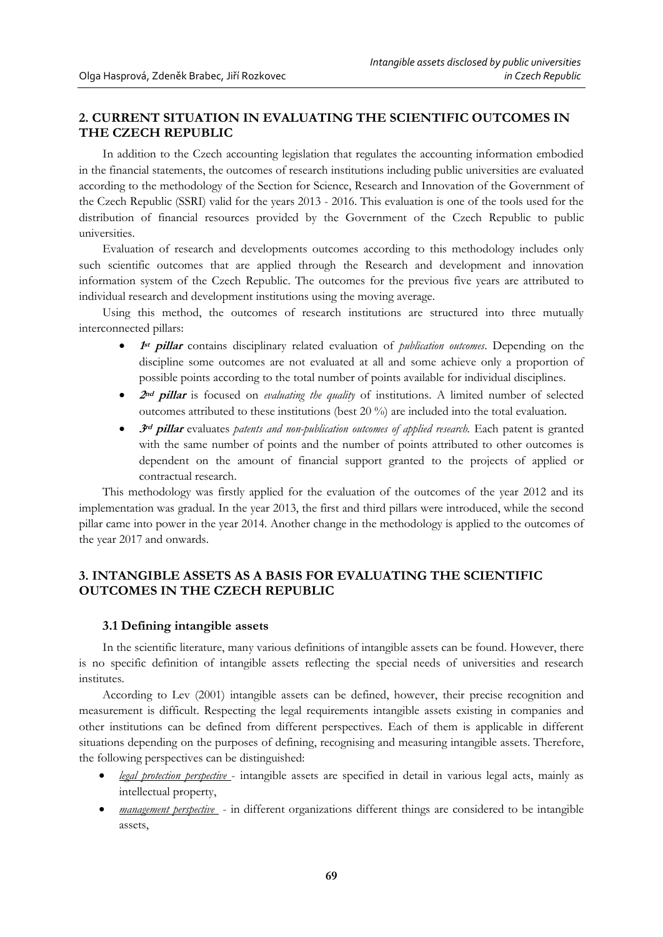## **2. CURRENT SITUATION IN EVALUATING THE SCIENTIFIC OUTCOMES IN THE CZECH REPUBLIC**

In addition to the Czech accounting legislation that regulates the accounting information embodied in the financial statements, the outcomes of research institutions including public universities are evaluated according to the methodology of the Section for Science, Research and Innovation of the Government of the Czech Republic (SSRI) valid for the years 2013 - 2016. This evaluation is one of the tools used for the distribution of financial resources provided by the Government of the Czech Republic to public universities.

Evaluation of research and developments outcomes according to this methodology includes only such scientific outcomes that are applied through the Research and development and innovation information system of the Czech Republic. The outcomes for the previous five years are attributed to individual research and development institutions using the moving average.

Using this method, the outcomes of research institutions are structured into three mutually interconnected pillars:

- **1 1**st **pillar** contains disciplinary related evaluation of *publication outcomes*. Depending on the discipline some outcomes are not evaluated at all and some achieve only a proportion of possible points according to the total number of points available for individual disciplines.
- **<sup>2</sup>nd pillar** is focused on *evaluating the quality* of institutions. A limited number of selected outcomes attributed to these institutions (best 20 %) are included into the total evaluation.
- **•** 3<sup>*rd</sup>* **pillar** evaluates *patents and non-publication outcomes of applied research*. Each patent is granted</sup> with the same number of points and the number of points attributed to other outcomes is dependent on the amount of financial support granted to the projects of applied or contractual research.

This methodology was firstly applied for the evaluation of the outcomes of the year 2012 and its implementation was gradual. In the year 2013, the first and third pillars were introduced, while the second pillar came into power in the year 2014. Another change in the methodology is applied to the outcomes of the year 2017 and onwards.

## **3. INTANGIBLE ASSETS AS A BASIS FOR EVALUATING THE SCIENTIFIC OUTCOMES IN THE CZECH REPUBLIC**

## **3.1 Defining intangible assets**

In the scientific literature, many various definitions of intangible assets can be found. However, there is no specific definition of intangible assets reflecting the special needs of universities and research institutes.

According to Lev (2001) intangible assets can be defined, however, their precise recognition and measurement is difficult. Respecting the legal requirements intangible assets existing in companies and other institutions can be defined from different perspectives. Each of them is applicable in different situations depending on the purposes of defining, recognising and measuring intangible assets. Therefore, the following perspectives can be distinguished:

- *legal protection perspective*  intangible assets are specified in detail in various legal acts, mainly as intellectual property,
- *management perspective* in different organizations different things are considered to be intangible assets,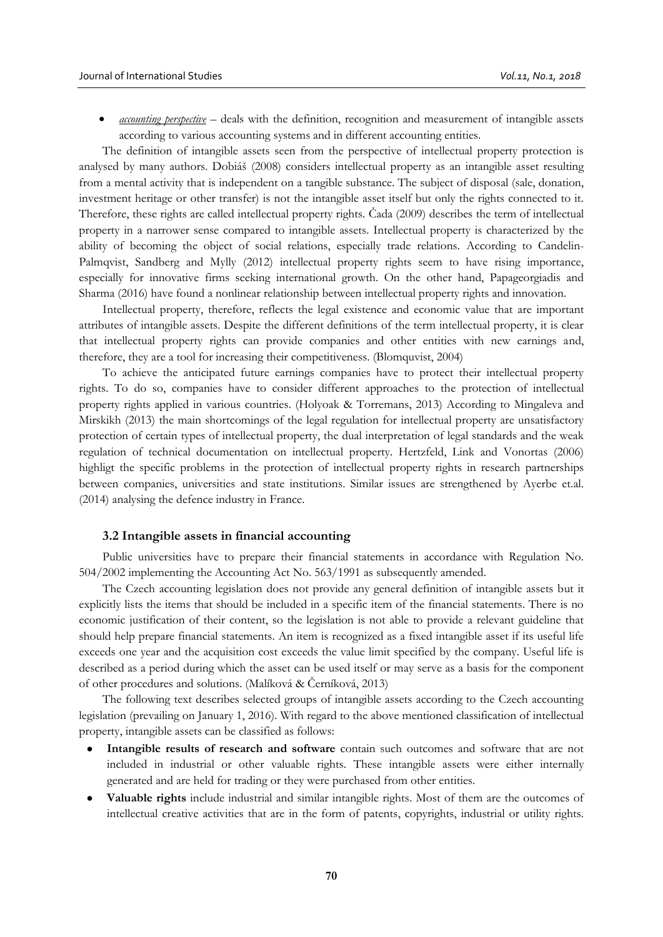*accounting perspective* – deals with the definition, recognition and measurement of intangible assets according to various accounting systems and in different accounting entities.

The definition of intangible assets seen from the perspective of intellectual property protection is analysed by many authors. Dobiáš (2008) considers intellectual property as an intangible asset resulting from a mental activity that is independent on a tangible substance. The subject of disposal (sale, donation, investment heritage or other transfer) is not the intangible asset itself but only the rights connected to it. Therefore, these rights are called intellectual property rights*.* Čada (2009) describes the term of intellectual property in a narrower sense compared to intangible assets. Intellectual property is characterized by the ability of becoming the object of social relations, especially trade relations. According to Candelin-Palmqvist, Sandberg and Mylly (2012) intellectual property rights seem to have rising importance, especially for innovative firms seeking international growth. On the other hand, Papageorgiadis and [Sharma](http://www.scopus.com/authid/detail.uri?origin=resultslist&authorId=57001741500&zone=) (2016) have found a nonlinear relationship between intellectual property rights and innovation.

Intellectual property, therefore, reflects the legal existence and economic value that are important attributes of intangible assets. Despite the different definitions of the term intellectual property, it is clear that intellectual property rights can provide companies and other entities with new earnings and, therefore, they are a tool for increasing their competitiveness. (Blomquvist, 2004)

To achieve the anticipated future earnings companies have to protect their intellectual property rights. To do so, companies have to consider different approaches to the protection of intellectual property rights applied in various countries. (Holyoak & Torremans, 2013) According to Mingaleva and Mirskikh (2013) the main shortcomings of the legal regulation for intellectual property are unsatisfactory protection of certain types of intellectual property, the dual interpretation of legal standards and the weak regulation of technical documentation on intellectual property. Hertzfeld, Link and Vonortas (2006) highligt the specific problems in the protection of intellectual property rights in research partnerships between companies, universities and state institutions. Similar issues are strengthened by Ayerbe et.al. (2014) analysing the defence industry in France.

### **3.2 Intangible assets in financial accounting**

Public universities have to prepare their financial statements in accordance with Regulation No. 504/2002 implementing the Accounting Act No. 563/1991 as subsequently amended.

The Czech accounting legislation does not provide any general definition of intangible assets but it explicitly lists the items that should be included in a specific item of the financial statements. There is no economic justification of their content, so the legislation is not able to provide a relevant guideline that should help prepare financial statements. An item is recognized as a fixed intangible asset if its useful life exceeds one year and the acquisition cost exceeds the value limit specified by the company. Useful life is described as a period during which the asset can be used itself or may serve as a basis for the component of other procedures and solutions. (Malíková & Černíková, 2013)

The following text describes selected groups of intangible assets according to the Czech accounting legislation (prevailing on January 1, 2016). With regard to the above mentioned classification of intellectual property, intangible assets can be classified as follows:

- **Intangible results of research and software** contain such outcomes and software that are not included in industrial or other valuable rights. These intangible assets were either internally generated and are held for trading or they were purchased from other entities.
- **Valuable rights** include industrial and similar intangible rights. Most of them are the outcomes of intellectual creative activities that are in the form of patents, copyrights, industrial or utility rights.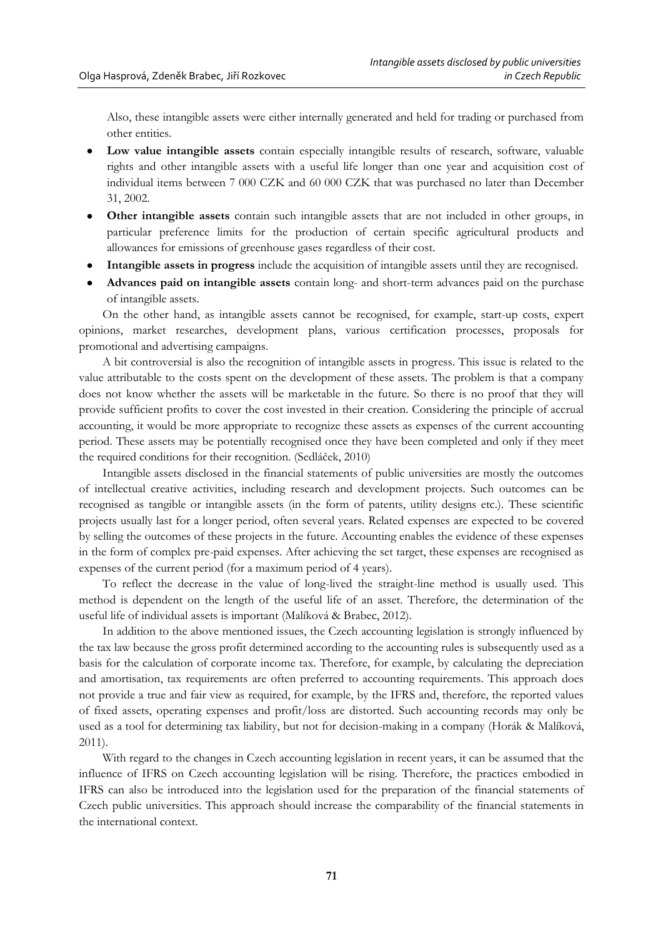Also, these intangible assets were either internally generated and held for trading or purchased from other entities.

- **Low value intangible assets** contain especially intangible results of research, software, valuable rights and other intangible assets with a useful life longer than one year and acquisition cost of individual items between 7 000 CZK and 60 000 CZK that was purchased no later than December 31, 2002.
- **Other intangible assets** contain such intangible assets that are not included in other groups, in particular preference limits for the production of certain specific agricultural products and allowances for emissions of greenhouse gases regardless of their cost.
- **Intangible assets in progress** include the acquisition of intangible assets until they are recognised.
- **Advances paid on intangible assets** contain long- and short-term advances paid on the purchase of intangible assets.

On the other hand, as intangible assets cannot be recognised, for example, start-up costs, expert opinions, market researches, development plans, various certification processes, proposals for promotional and advertising campaigns.

A bit controversial is also the recognition of intangible assets in progress. This issue is related to the value attributable to the costs spent on the development of these assets. The problem is that a company does not know whether the assets will be marketable in the future. So there is no proof that they will provide sufficient profits to cover the cost invested in their creation. Considering the principle of accrual accounting, it would be more appropriate to recognize these assets as expenses of the current accounting period. These assets may be potentially recognised once they have been completed and only if they meet the required conditions for their recognition. (Sedláček, 2010)

Intangible assets disclosed in the financial statements of public universities are mostly the outcomes of intellectual creative activities, including research and development projects. Such outcomes can be recognised as tangible or intangible assets (in the form of patents, utility designs etc.). These scientific projects usually last for a longer period, often several years. Related expenses are expected to be covered by selling the outcomes of these projects in the future. Accounting enables the evidence of these expenses in the form of complex pre-paid expenses. After achieving the set target, these expenses are recognised as expenses of the current period (for a maximum period of 4 years).

To reflect the decrease in the value of long-lived the straight-line method is usually used. This method is dependent on the length of the useful life of an asset. Therefore, the determination of the useful life of individual assets is important (Malíková & Brabec, 2012).

In addition to the above mentioned issues, the Czech accounting legislation is strongly influenced by the tax law because the gross profit determined according to the accounting rules is subsequently used as a basis for the calculation of corporate income tax. Therefore, for example, by calculating the depreciation and amortisation, tax requirements are often preferred to accounting requirements. This approach does not provide a true and fair view as required, for example, by the IFRS and, therefore, the reported values of fixed assets, operating expenses and profit/loss are distorted. Such accounting records may only be used as a tool for determining tax liability, but not for decision-making in a company (Horák & Malíková, 2011).

With regard to the changes in Czech accounting legislation in recent years, it can be assumed that the influence of IFRS on Czech accounting legislation will be rising. Therefore, the practices embodied in IFRS can also be introduced into the legislation used for the preparation of the financial statements of Czech public universities. This approach should increase the comparability of the financial statements in the international context.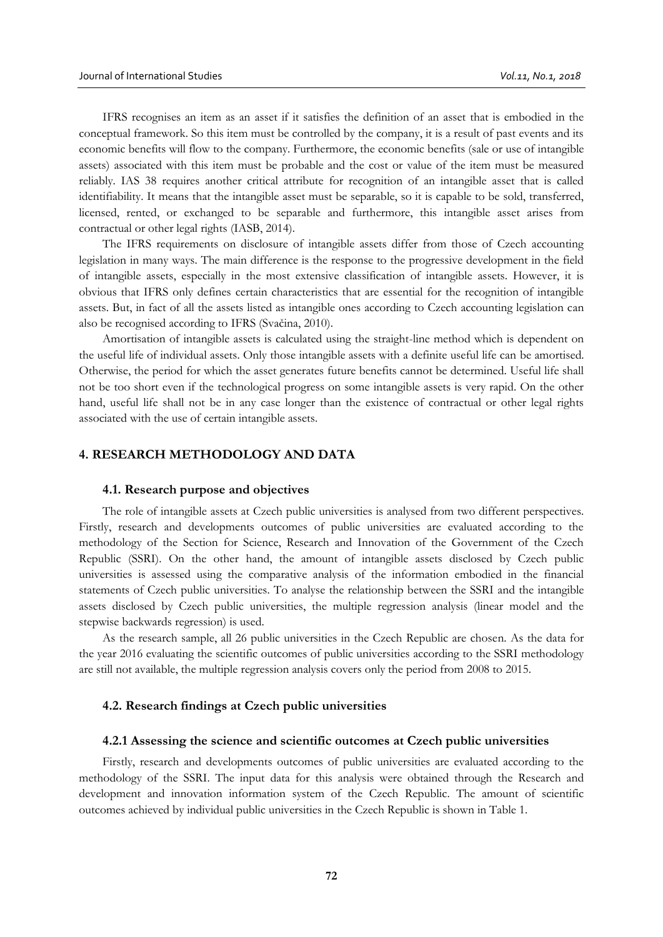IFRS recognises an item as an asset if it satisfies the definition of an asset that is embodied in the conceptual framework. So this item must be controlled by the company, it is a result of past events and its economic benefits will flow to the company. Furthermore, the economic benefits (sale or use of intangible assets) associated with this item must be probable and the cost or value of the item must be measured reliably. IAS 38 requires another critical attribute for recognition of an intangible asset that is called identifiability. It means that the intangible asset must be separable, so it is capable to be sold, transferred, licensed, rented, or exchanged to be separable and furthermore, this intangible asset arises from contractual or other legal rights (IASB, 2014).

The IFRS requirements on disclosure of intangible assets differ from those of Czech accounting legislation in many ways. The main difference is the response to the progressive development in the field of intangible assets, especially in the most extensive classification of intangible assets. However, it is obvious that IFRS only defines certain characteristics that are essential for the recognition of intangible assets. But, in fact of all the assets listed as intangible ones according to Czech accounting legislation can also be recognised according to IFRS (Svačina, 2010).

Amortisation of intangible assets is calculated using the straight-line method which is dependent on the useful life of individual assets. Only those intangible assets with a definite useful life can be amortised. Otherwise, the period for which the asset generates future benefits cannot be determined. Useful life shall not be too short even if the technological progress on some intangible assets is very rapid. On the other hand, useful life shall not be in any case longer than the existence of contractual or other legal rights associated with the use of certain intangible assets.

## **4. RESEARCH METHODOLOGY AND DATA**

#### **4.1. Research purpose and objectives**

The role of intangible assets at Czech public universities is analysed from two different perspectives. Firstly, research and developments outcomes of public universities are evaluated according to the methodology of the Section for Science, Research and Innovation of the Government of the Czech Republic (SSRI). On the other hand, the amount of intangible assets disclosed by Czech public universities is assessed using the comparative analysis of the information embodied in the financial statements of Czech public universities. To analyse the relationship between the SSRI and the intangible assets disclosed by Czech public universities, the multiple regression analysis (linear model and the stepwise backwards regression) is used.

As the research sample, all 26 public universities in the Czech Republic are chosen. As the data for the year 2016 evaluating the scientific outcomes of public universities according to the SSRI methodology are still not available, the multiple regression analysis covers only the period from 2008 to 2015.

## **4.2. Research findings at Czech public universities**

### **4.2.1 Assessing the science and scientific outcomes at Czech public universities**

Firstly, research and developments outcomes of public universities are evaluated according to the methodology of the SSRI. The input data for this analysis were obtained through the Research and development and innovation information system of the Czech Republic. The amount of scientific outcomes achieved by individual public universities in the Czech Republic is shown in Table 1.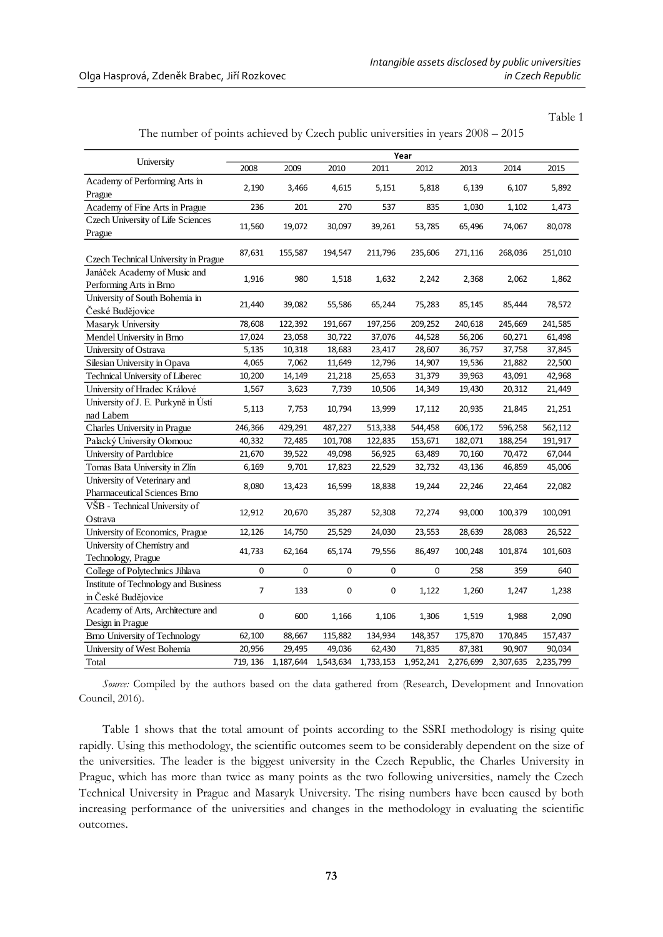Table 1

|  |  |  | The number of points achieved by Czech public universities in years $2008 - 2015$ |  |  |
|--|--|--|-----------------------------------------------------------------------------------|--|--|
|--|--|--|-----------------------------------------------------------------------------------|--|--|

|                                                    | Year           |           |           |           |             |           |           |           |  |
|----------------------------------------------------|----------------|-----------|-----------|-----------|-------------|-----------|-----------|-----------|--|
| University                                         | 2008           | 2009      | 2010      | 2011      | 2012        | 2013      | 2014      | 2015      |  |
| Academy of Performing Arts in                      | 2,190          | 3,466     | 4,615     | 5,151     | 5,818       | 6,139     | 6,107     | 5,892     |  |
| Prague                                             |                |           |           |           |             |           |           |           |  |
| Academy of Fine Arts in Prague                     | 236            | 201       | 270       | 537       | 835         | 1,030     | 1,102     | 1,473     |  |
| Czech University of Life Sciences                  | 11,560         | 19,072    | 30,097    | 39,261    | 53,785      | 65,496    | 74,067    | 80,078    |  |
| Prague                                             |                |           |           |           |             |           |           |           |  |
| Czech Technical University in Prague               | 87,631         | 155,587   | 194,547   | 211,796   | 235,606     | 271,116   | 268,036   | 251,010   |  |
| Janáček Academy of Music and                       |                |           |           |           |             |           |           | 1,862     |  |
| Performing Arts in Brno                            | 1,916          | 980       | 1,518     | 1,632     | 2,242       | 2,368     | 2,062     |           |  |
| University of South Bohemia in<br>České Budějovice | 21,440         | 39,082    | 55,586    | 65,244    | 75,283      | 85,145    | 85,444    | 78,572    |  |
| Masaryk University                                 | 78,608         | 122,392   | 191,667   | 197,256   | 209,252     | 240,618   | 245,669   | 241,585   |  |
| Mendel University in Brno                          | 17,024         | 23,058    | 30,722    | 37,076    | 44,528      | 56,206    | 60,271    | 61,498    |  |
| University of Ostrava                              | 5,135          | 10,318    | 18,683    | 23,417    | 28,607      | 36,757    | 37,758    | 37,845    |  |
| Silesian University in Opava                       | 4,065          | 7,062     | 11,649    | 12,796    | 14,907      | 19,536    | 21,882    | 22,500    |  |
| Technical University of Liberec                    | 10,200         | 14,149    | 21,218    | 25,653    | 31,379      | 39,963    | 43,091    | 42,968    |  |
| University of Hradec Králové                       | 1,567          | 3,623     | 7,739     | 10,506    | 14,349      | 19,430    | 20,312    | 21,449    |  |
| University of J. E. Purkyně in Ústí                |                |           |           |           |             |           |           |           |  |
| nad Labem                                          | 5,113          | 7,753     | 10,794    | 13,999    | 17,112      | 20,935    | 21,845    | 21,251    |  |
| Charles University in Prague                       | 246,366        | 429,291   | 487,227   | 513,338   | 544,458     | 606,172   | 596,258   | 562,112   |  |
| Palacký University Olomouc                         | 40,332         | 72,485    | 101,708   | 122,835   | 153,671     | 182,071   | 188,254   | 191,917   |  |
| University of Pardubice                            | 21,670         | 39,522    | 49,098    | 56,925    | 63,489      | 70,160    | 70,472    | 67,044    |  |
| Tomas Bata University in Zlín                      | 6,169          | 9,701     | 17,823    | 22,529    | 32,732      | 43,136    | 46,859    | 45,006    |  |
| University of Veterinary and                       |                |           |           |           |             |           |           |           |  |
| Pharmaceutical Sciences Brno                       | 8,080          | 13,423    | 16,599    | 18,838    | 19,244      | 22,246    | 22,464    | 22,082    |  |
| VŠB - Technical University of                      |                |           |           |           |             |           |           |           |  |
| Ostrava                                            | 12,912         | 20,670    | 35,287    | 52,308    | 72,274      | 93,000    | 100,379   | 100,091   |  |
| University of Economics, Prague                    | 12,126         | 14,750    | 25,529    | 24,030    | 23,553      | 28,639    | 28,083    | 26,522    |  |
| University of Chemistry and                        |                |           |           |           |             |           |           |           |  |
| Technology, Prague                                 | 41,733         | 62,164    | 65,174    | 79,556    | 86,497      | 100,248   | 101,874   | 101,603   |  |
| College of Polytechnics Jihlava                    | 0              | 0         | 0         | 0         | $\mathbf 0$ | 258       | 359       | 640       |  |
| Institute of Technology and Business               | $\overline{7}$ | 133       | 0         | 0         | 1,122       | 1,260     | 1,247     | 1,238     |  |
| in České Budějovice                                |                |           |           |           |             |           |           |           |  |
| Academy of Arts, Architecture and                  | $\pmb{0}$      | 600       |           | 1,106     | 1,306       | 1,519     |           |           |  |
| Design in Prague                                   |                |           | 1,166     |           |             |           | 1,988     | 2,090     |  |
| Brno University of Technology                      | 62,100         | 88,667    | 115,882   | 134,934   | 148,357     | 175,870   | 170,845   | 157,437   |  |
| University of West Bohemia                         | 20,956         | 29,495    | 49,036    | 62,430    | 71,835      | 87,381    | 90,907    | 90,034    |  |
| Total                                              | 719, 136       | 1,187,644 | 1,543,634 | 1,733,153 | 1,952,241   | 2,276,699 | 2,307,635 | 2,235,799 |  |

*Source:* Compiled by the authors based on the data gathered from (Research, Development and Innovation Council, 2016).

Table 1 shows that the total amount of points according to the SSRI methodology is rising quite rapidly. Using this methodology, the scientific outcomes seem to be considerably dependent on the size of the universities. The leader is the biggest university in the Czech Republic, the Charles University in Prague, which has more than twice as many points as the two following universities, namely the Czech Technical University in Prague and Masaryk University. The rising numbers have been caused by both increasing performance of the universities and changes in the methodology in evaluating the scientific outcomes.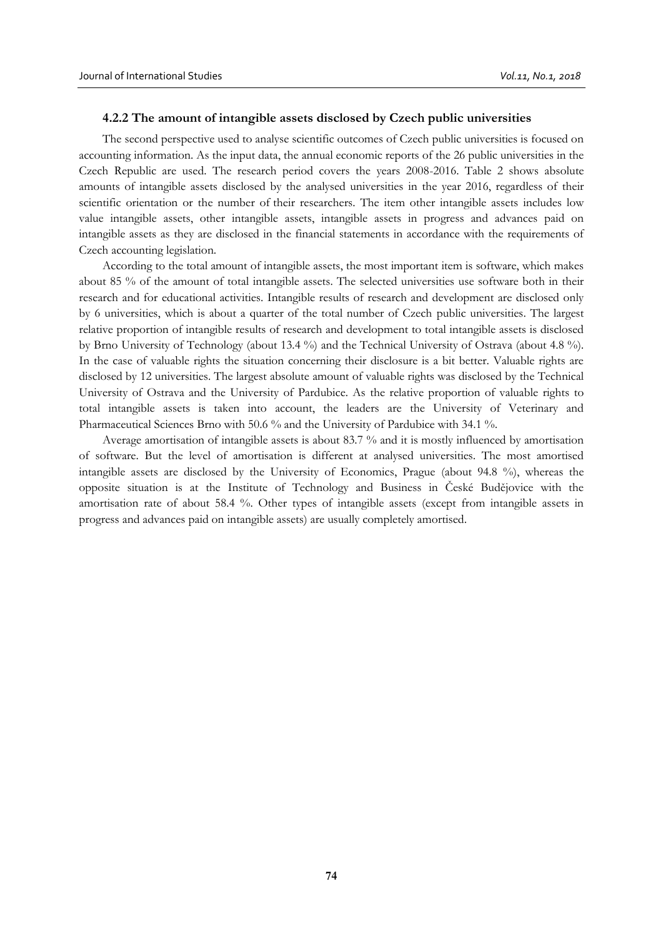### **4.2.2 The amount of intangible assets disclosed by Czech public universities**

The second perspective used to analyse scientific outcomes of Czech public universities is focused on accounting information. As the input data, the annual economic reports of the 26 public universities in the Czech Republic are used. The research period covers the years 2008-2016. Table 2 shows absolute amounts of intangible assets disclosed by the analysed universities in the year 2016, regardless of their scientific orientation or the number of their researchers. The item other intangible assets includes low value intangible assets, other intangible assets, intangible assets in progress and advances paid on intangible assets as they are disclosed in the financial statements in accordance with the requirements of Czech accounting legislation.

According to the total amount of intangible assets, the most important item is software, which makes about 85 % of the amount of total intangible assets. The selected universities use software both in their research and for educational activities. Intangible results of research and development are disclosed only by 6 universities, which is about a quarter of the total number of Czech public universities. The largest relative proportion of intangible results of research and development to total intangible assets is disclosed by Brno University of Technology (about 13.4 %) and the Technical University of Ostrava (about 4.8 %). In the case of valuable rights the situation concerning their disclosure is a bit better. Valuable rights are disclosed by 12 universities. The largest absolute amount of valuable rights was disclosed by the Technical University of Ostrava and the University of Pardubice. As the relative proportion of valuable rights to total intangible assets is taken into account, the leaders are the University of Veterinary and Pharmaceutical Sciences Brno with 50.6 % and the University of Pardubice with 34.1 %.

Average amortisation of intangible assets is about 83.7 % and it is mostly influenced by amortisation of software. But the level of amortisation is different at analysed universities. The most amortised intangible assets are disclosed by the University of Economics, Prague (about 94.8 %), whereas the opposite situation is at the Institute of Technology and Business in České Budějovice with the amortisation rate of about 58.4 %. Other types of intangible assets (except from intangible assets in progress and advances paid on intangible assets) are usually completely amortised.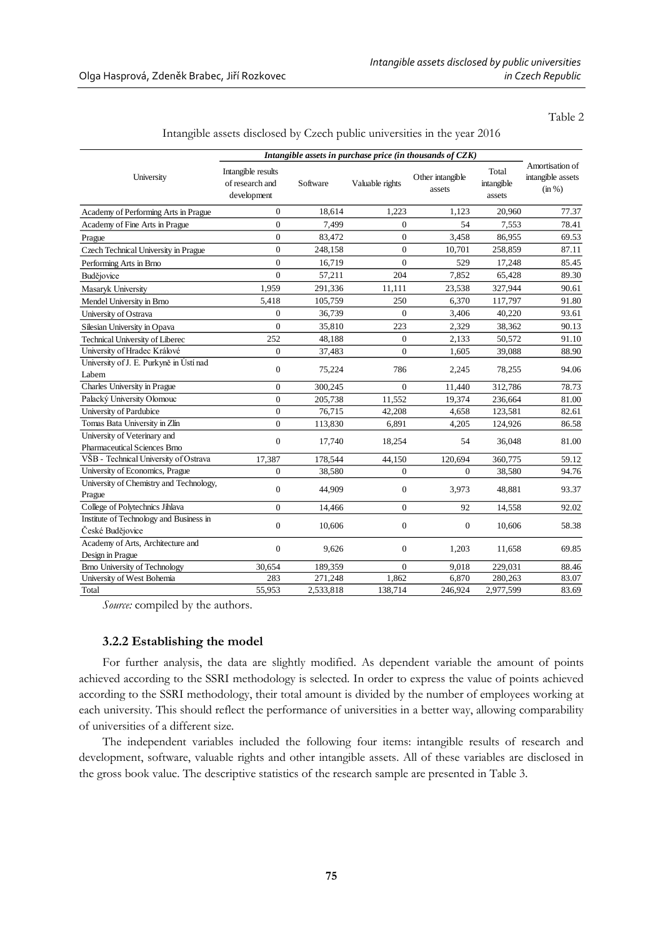Table 2

|                                                              | Intangible assets in purchase price (in thousands of $CZK$ ) |           |                  |                            |                               |                                                |
|--------------------------------------------------------------|--------------------------------------------------------------|-----------|------------------|----------------------------|-------------------------------|------------------------------------------------|
| University                                                   | Intangible results<br>of research and<br>development         | Software  | Valuable rights  | Other intangible<br>assets | Total<br>intangible<br>assets | Amortisation of<br>intangible assets<br>(in %) |
| Academy of Performing Arts in Prague                         | $\overline{0}$                                               | 18,614    | 1,223            | 1,123                      | 20,960                        | 77.37                                          |
| Academy of Fine Arts in Prague                               | $\overline{0}$                                               | 7,499     | $\mathbf{0}$     | 54                         | 7,553                         | 78.41                                          |
| Prague                                                       | $\overline{0}$                                               | 83,472    | $\boldsymbol{0}$ | 3,458                      | 86,955                        | 69.53                                          |
| Czech Technical University in Prague                         | $\overline{0}$                                               | 248,158   | $\overline{0}$   | 10,701                     | 258,859                       | 87.11                                          |
| Performing Arts in Brno                                      | $\mathbf{0}$                                                 | 16,719    | $\boldsymbol{0}$ | 529                        | 17,248                        | 85.45                                          |
| Budějovice                                                   | $\Omega$                                                     | 57,211    | 204              | 7,852                      | 65,428                        | 89.30                                          |
| Masaryk University                                           | 1,959                                                        | 291,336   | 11,111           | 23,538                     | 327,944                       | 90.61                                          |
| Mendel University in Brno                                    | 5,418                                                        | 105,759   | 250              | 6,370                      | 117,797                       | 91.80                                          |
| University of Ostrava                                        | $\boldsymbol{0}$                                             | 36,739    | $\boldsymbol{0}$ | 3,406                      | 40,220                        | 93.61                                          |
| Silesian University in Opava                                 | $\overline{0}$                                               | 35,810    | 223              | 2,329                      | 38,362                        | 90.13                                          |
| Technical University of Liberec                              | 252                                                          | 48,188    | $\boldsymbol{0}$ | 2,133                      | 50,572                        | 91.10                                          |
| University of Hradec Králové                                 | $\mathbf{0}$                                                 | 37,483    | $\overline{0}$   | 1,605                      | 39,088                        | 88.90                                          |
| University of J. E. Purkyně in Ústí nad<br>Labem             | $\mathbf{0}$                                                 | 75,224    | 786              | 2,245                      | 78,255                        | 94.06                                          |
| Charles University in Prague                                 | $\boldsymbol{0}$                                             | 300,245   | $\mathbf{0}$     | 11,440                     | 312,786                       | 78.73                                          |
| Palacký University Olomouc                                   | $\overline{0}$                                               | 205,738   | 11,552           | 19,374                     | 236,664                       | 81.00                                          |
| University of Pardubice                                      | $\overline{0}$                                               | 76,715    | 42,208           | 4,658                      | 123,581                       | 82.61                                          |
| Tomas Bata University in Zlín                                | $\mathbf{0}$                                                 | 113,830   | 6,891            | 4,205                      | 124,926                       | 86.58                                          |
| University of Veterinary and<br>Pharmaceutical Sciences Brno | $\boldsymbol{0}$                                             | 17,740    | 18,254           | 54                         | 36,048                        | 81.00                                          |
| VŠB - Technical University of Ostrava                        | 17,387                                                       | 178,544   | 44,150           | 120,694                    | 360,775                       | 59.12                                          |
| University of Economics, Prague                              | $\mathbf{0}$                                                 | 38,580    | $\boldsymbol{0}$ | $\mathbf{0}$               | 38,580                        | 94.76                                          |
| University of Chemistry and Technology,<br>Prague            | $\boldsymbol{0}$                                             | 44,909    | $\boldsymbol{0}$ | 3,973                      | 48,881                        | 93.37                                          |
| College of Polytechnics Jihlava                              | $\mathbf{0}$                                                 | 14,466    | $\boldsymbol{0}$ | 92                         | 14,558                        | 92.02                                          |
| Institute of Technology and Business in<br>České Budějovice  | $\boldsymbol{0}$                                             | 10,606    | $\boldsymbol{0}$ | $\boldsymbol{0}$           | 10,606                        | 58.38                                          |
| Academy of Arts, Architecture and<br>Design in Prague        | $\boldsymbol{0}$                                             | 9,626     | $\boldsymbol{0}$ | 1,203                      | 11,658                        | 69.85                                          |
| <b>Brno University of Technology</b>                         | 30,654                                                       | 189,359   | $\overline{0}$   | 9,018                      | 229,031                       | 88.46                                          |
| University of West Bohemia                                   | 283                                                          | 271,248   | 1,862            | 6,870                      | 280,263                       | 83.07                                          |
| Total                                                        | 55,953                                                       | 2,533,818 | 138,714          | 246,924                    | 2,977,599                     | 83.69                                          |

Intangible assets disclosed by Czech public universities in the year 2016

*Source:* compiled by the authors.

## **3.2.2 Establishing the model**

For further analysis, the data are slightly modified. As dependent variable the amount of points achieved according to the SSRI methodology is selected. In order to express the value of points achieved according to the SSRI methodology, their total amount is divided by the number of employees working at each university. This should reflect the performance of universities in a better way, allowing comparability of universities of a different size.

The independent variables included the following four items: intangible results of research and development, software, valuable rights and other intangible assets. All of these variables are disclosed in the gross book value. The descriptive statistics of the research sample are presented in Table 3.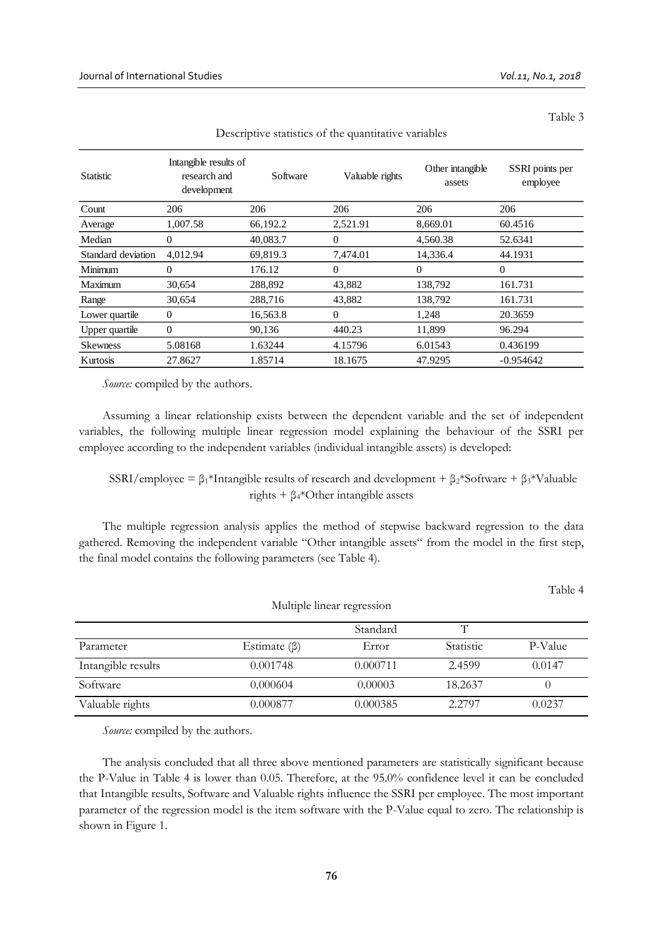Table 3

| <b>Statistic</b>   | Intangible results of<br>research and<br>development | Software | Valuable rights | Other intangible<br>assets | SSRI points per<br>employee |
|--------------------|------------------------------------------------------|----------|-----------------|----------------------------|-----------------------------|
| Count              | 206                                                  | 206      | 206             | 206                        | 206                         |
| Average            | 1,007.58                                             | 66,192.2 | 2,521.91        | 8,669.01                   | 60.4516                     |
| Median             | $\theta$                                             | 40,083.7 | 0               | 4,560.38                   | 52.6341                     |
| Standard deviation | 4,012.94                                             | 69,819.3 | 7,474.01        | 14,336.4                   | 44.1931                     |
| Minimum            | $\theta$                                             | 176.12   | 0               | $\theta$                   | $\overline{0}$              |
| Maximum            | 30,654                                               | 288,892  | 43,882          | 138,792                    | 161.731                     |
| Range              | 30,654                                               | 288,716  | 43,882          | 138,792                    | 161.731                     |
| Lower quartile     | $\theta$                                             | 16,563.8 | $\theta$        | 1,248                      | 20.3659                     |
| Upper quartile     | $\theta$                                             | 90,136   | 440.23          | 11,899                     | 96.294                      |
| <b>Skewness</b>    | 5.08168                                              | 1.63244  | 4.15796         | 6.01543                    | 0.436199                    |
| Kurtosis           | 27.8627                                              | 1.85714  | 18.1675         | 47.9295                    | $-0.954642$                 |

Descriptive statistics of the quantitative variables

*Source:* compiled by the authors.

Assuming a linear relationship exists between the dependent variable and the set of independent variables, the following multiple linear regression model explaining the behaviour of the SSRI per employee according to the independent variables (individual intangible assets) is developed:

SSRI/employee =  $\beta_1$ \*Intangible results of research and development +  $\beta_2$ \*Software +  $\beta_3$ \*Valuable rights +  $\beta$ <sub>4</sub>\*Other intangible assets

The multiple regression analysis applies the method of stepwise backward regression to the data gathered. Removing the independent variable "Other intangible assets" from the model in the first step, the final model contains the following parameters (see Table 4).

|                    |                    |          |           | Table 4 |
|--------------------|--------------------|----------|-----------|---------|
|                    |                    |          |           |         |
|                    |                    | Standard | T         |         |
| Parameter          | Estimate $(\beta)$ | Error    | Statistic | P-Value |
| Intangible results | 0.001748           | 0.000711 | 2.4599    | 0.0147  |
| Software           | 0.000604           | 0.00003  | 18.2637   |         |
| Valuable rights    | 0.000877           | 0.000385 | 2.2797    | 0.0237  |

*Source:* compiled by the authors.

The analysis concluded that all three above mentioned parameters are statistically significant because the P-Value in Table 4 is lower than 0.05. Therefore, at the 95.0% confidence level it can be concluded that Intangible results, Software and Valuable rights influence the SSRI per employee. The most important parameter of the regression model is the item software with the P-Value equal to zero. The relationship is shown in Figure 1.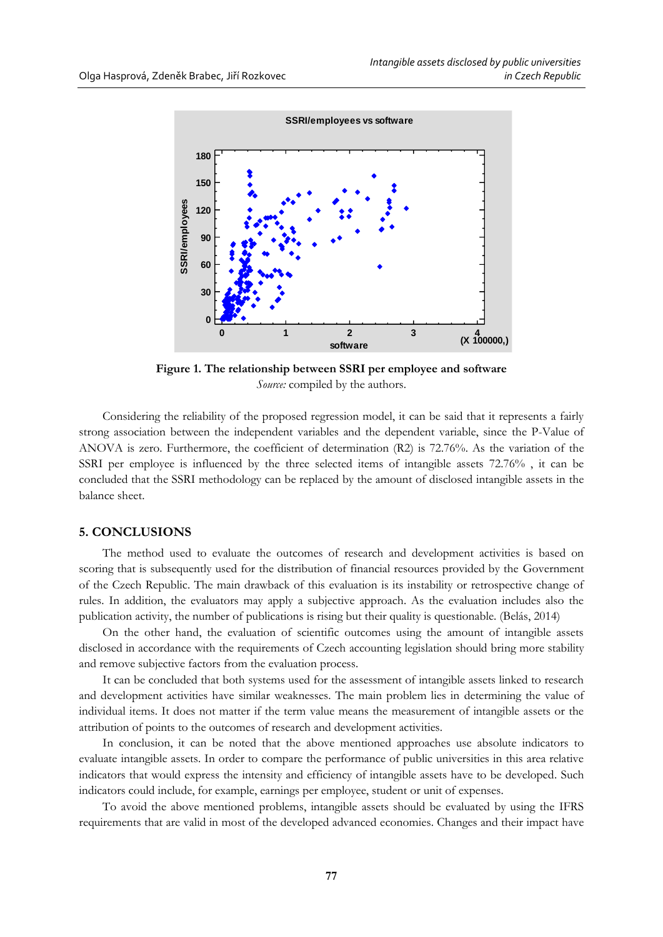

**Figure 1. The relationship between SSRI per employee and software** *Source:* compiled by the authors.

Considering the reliability of the proposed regression model, it can be said that it represents a fairly strong association between the independent variables and the dependent variable, since the P-Value of ANOVA is zero. Furthermore, the coefficient of determination (R2) is 72.76%. As the variation of the SSRI per employee is influenced by the three selected items of intangible assets 72.76% , it can be concluded that the SSRI methodology can be replaced by the amount of disclosed intangible assets in the balance sheet.

## **5. CONCLUSIONS**

The method used to evaluate the outcomes of research and development activities is based on scoring that is subsequently used for the distribution of financial resources provided by the Government of the Czech Republic. The main drawback of this evaluation is its instability or retrospective change of rules. In addition, the evaluators may apply a subjective approach. As the evaluation includes also the publication activity, the number of publications is rising but their quality is questionable. (Belás, 2014)

On the other hand, the evaluation of scientific outcomes using the amount of intangible assets disclosed in accordance with the requirements of Czech accounting legislation should bring more stability and remove subjective factors from the evaluation process.

It can be concluded that both systems used for the assessment of intangible assets linked to research and development activities have similar weaknesses. The main problem lies in determining the value of individual items. It does not matter if the term value means the measurement of intangible assets or the attribution of points to the outcomes of research and development activities.

In conclusion, it can be noted that the above mentioned approaches use absolute indicators to evaluate intangible assets. In order to compare the performance of public universities in this area relative indicators that would express the intensity and efficiency of intangible assets have to be developed. Such indicators could include, for example, earnings per employee, student or unit of expenses.

To avoid the above mentioned problems, intangible assets should be evaluated by using the IFRS requirements that are valid in most of the developed advanced economies. Changes and their impact have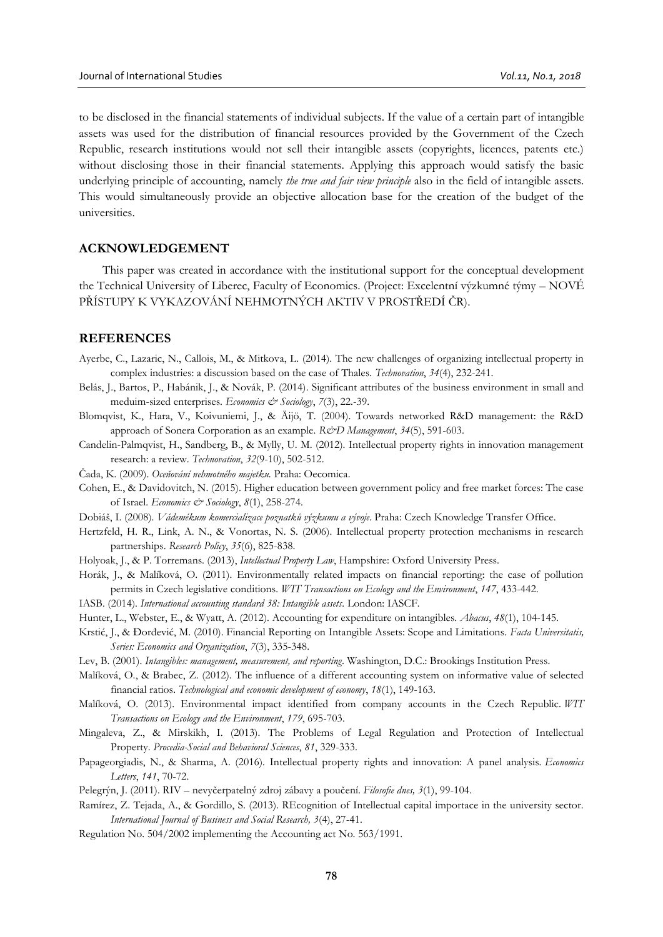to be disclosed in the financial statements of individual subjects. If the value of a certain part of intangible assets was used for the distribution of financial resources provided by the Government of the Czech Republic, research institutions would not sell their intangible assets (copyrights, licences, patents etc.) without disclosing those in their financial statements. Applying this approach would satisfy the basic underlying principle of accounting, namely *the true and fair view principle* also in the field of intangible assets. This would simultaneously provide an objective allocation base for the creation of the budget of the universities.

## **ACKNOWLEDGEMENT**

This paper was created in accordance with the institutional support for the conceptual development the Technical University of Liberec, Faculty of Economics. (Project: Excelentní výzkumné týmy – NOVÉ PŘÍSTUPY K VYKAZOVÁNÍ NEHMOTNÝCH AKTIV V PROSTŘEDÍ ČR).

## **REFERENCES**

- Ayerbe, C., Lazaric, N., Callois, M., & Mitkova, L. (2014). The new challenges of organizing intellectual property in complex industries: a discussion based on the case of Thales. *Technovation*, *34*(4), 232-241.
- Belás, J., Bartos, P., Habánik, J., & Novák, P. (2014). Significant attributes of the business environment in small and meduim-sized enterprises. *Economics & Sociology*, *7*(3), 22.-39.
- Blomqvist, K., Hara, V., Koivuniemi, J., & Äijö, T. (2004). Towards networked R&D management: the R&D approach of Sonera Corporation as an example. *R&D Management*, *34*(5), 591-603.
- Candelin-Palmqvist, H., Sandberg, B., & Mylly, U. M. (2012). Intellectual property rights in innovation management research: a review. *Technovation*, *32*(9-10), 502-512.
- Čada, K. (2009). *Oceňování nehmotného majetku.* Praha: Oecomica.
- Cohen, E., & Davidovitch, N. (2015). Higher education between government policy and free market forces: The case of Israel. *Economics & Sociology*, *8*(1), 258-274.
- Dobiáš, I. (2008). *Vádemékum komercializace poznatků výzkumu a vývoje*. Praha: Czech Knowledge Transfer Office.
- Hertzfeld, H. R., Link, A. N., & Vonortas, N. S. (2006). Intellectual property protection mechanisms in research partnerships. *Research Policy*, *35*(6), 825-838.
- Holyoak, J., & P. Torremans. (2013), *Intellectual Property Law*, Hampshire: Oxford University Press.
- Horák, J., & Malíková, O. (2011). Environmentally related impacts on financial reporting: the case of pollution permits in Czech legislative conditions. *WIT Transactions on Ecology and the Environment*, *147*, 433-442.
- IASB. (2014). *International accounting standard 38: Intangible assets.* London: IASCF*.*
- Hunter, L., Webster, E., & Wyatt, A. (2012). Accounting for expenditure on intangibles. *Abacus*, *48*(1), 104-145.
- Krstić, J., & Đorđević, M. (2010). Financial Reporting on Intangible Assets: Scope and Limitations. *Facta Universitatis, Series: Economics and Organization*, *7*(3), 335-348.
- Lev, B. (2001). *Intangibles: management, measurement, and reporting*. Washington, D.C.: Brookings Institution Press.
- Malíková, O., & Brabec, Z. (2012). The influence of a different accounting system on informative value of selected financial ratios. *Technological and economic development of economy*, *18*(1), 149-163.
- Malíková, O. (2013). Environmental impact identified from company accounts in the Czech Republic. *WIT Transactions on Ecology and the Environment*, *179*, 695-703.
- Mingaleva, Z., & Mirskikh, I. (2013). The Problems of Legal Regulation and Protection of Intellectual Property. *Procedia-Social and Behavioral Sciences*, *81*, 329-333.
- Papageorgiadis, N., & Sharma, A. (2016). Intellectual property rights and innovation: A panel analysis. *Economics Letters*, *141*, 70-72.
- Pelegrýn, J. (2011). RIV nevyčerpatelný zdroj zábavy a poučení. *Filosofie dnes, 3*(1), 99-104.
- Ramírez, Z. Tejada, A., & Gordillo, S. (2013). REcognition of Intellectual capital importace in the university sector. *International Journal of Business and Social Research, 3*(4), 27-41.
- Regulation No. 504/2002 implementing the Accounting act No. 563/1991.